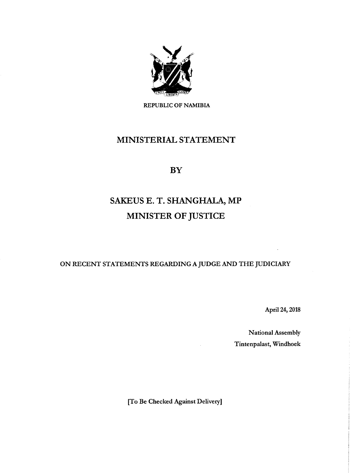

REPUBLIC OF NAMIBIA

# MINISTERIAL STATEMENT

**BY** 

# SAKEUS E. T. SHANGHALA, MP MINISTER OF JUSTICE

ON RECENT STATEMENTS REGARDING A JUDGE AND THE JUDICIARY

April 24, 2018

National Assembly Tintenpalast, Windhoek

[To Be Checked Against Delivery]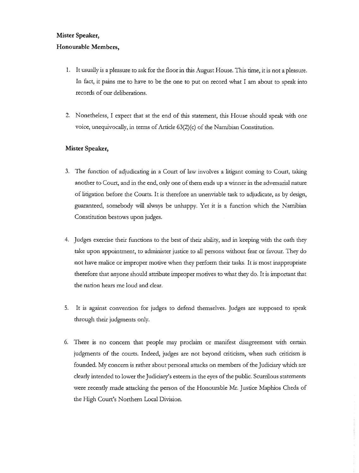#### **Mister Speaker,**

## **Honourable Members,**

- 1. It usually is a pleasure to ask for the floor in this August House. This time, it is not a pleasure. In fact, it pains me to have to be the one to put on record what I am about to speak into records of our deliberations.
- 2. Nonetheless, I expect that at the end of this statement, this House should speak with one voice, unequivocally, in terms of Article 63(2)(c) of the Namibian Constitution.

### **Mister Speaker,**

- 3. The function of adjudicating in a Court of law involves a litigant coming to Court, taking another to Court, and in the end, only one of them ends up a winner in the adversarial nature of litigation before the Courts. It is therefore an unenviable task to adjudicate, as by design, guaranteed, somebody will always be unhappy. Yet it is a function which the Namibian Constitution bestows upon judges.
- 4. Judges exercise their functions to the best of their ability, and in keeping with the oath they take upon appointment, to administer justice to all persons without fear or favour. They do not have malice or improper motive when they perform their tasks. It is most inappropriate therefore that anyone should attribute improper motives to what they do. It is important that the nation hears me loud and clear.
- 5. It is against convention for judges to defend themselves. Judges are supposed to speak through their judgments only.
- 6. There is no concern that people may proclaim or manifest disagreement with certain judgments of the courts. Indeed, judges are not beyond criticism, when such criticism is founded. My concern is rather about personal attacks on members of the Judiciary which are clearly intended to lower the Judiciary's esteem in the eyes of the public. Scurrilous statements were recently made attacking the person of the Honourable Mr. Justice Maphios Cheda of the High Court's Northern Local Division.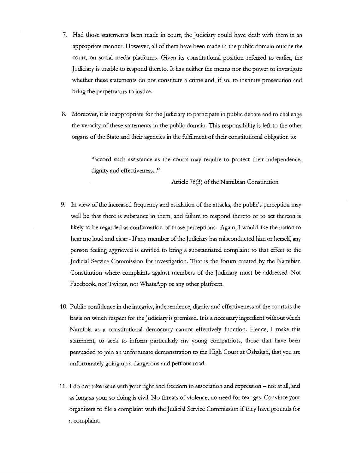- 7. Had those statements been made in court, the Judiciary could have dealt with them in an appropriate manner. However, all of them have been made in the public domain outside the court, on social media platforms. Given its constitutional position referred to earlier, the Judiciary is unable to respond thereto. It has neither the means nor the power to investigate whether these statements do not constitute a crime and, if so, to institute prosecution and bring the perpetrators to justice.
- 8. Moreover, it is inappropriate for the Judiciary to participate in public debate and to challenge the veracity of these statements in the public domain. This responsibility is left to the other organs of the State and their agencies in the fulfilment of their constitutional obligation to:

"accord such assistance as the courts may require to protect their independence, dignity and effectiveness..."

Article 78(3) of the Namibian Constitution

- 9. In view of the increased frequency and escalation of the attacks, the public's perception may well be that there is substance in them, and failure to respond thereto or to act thereon is likely to be regarded as confirmation of those perceptions. Again, I would like the nation to hear me loud and clear - If any member of the Judiciary has misconducted him or herself, any person feeling aggrieved is entided to bring a substantiated complaint to that effect to the Judicial Service Commission for investigation. That is the forum created by the Namibian Constitution where complaints against members of the Judiciary must be addressed. Not Facebook, not Twitter, not WhatsApp or any other platform.
- 10. Public confidence in the integrity, independence, dignity and effectiveness of the courts is the basis on which respect for the Judiciary is premised. It is a necessary ingredient without which Namibia as a constitutional democracy cannot effectively function. Hence, I make this statement, to seek to inform particularly my young compatriots, those that have been persuaded to join an unfortunate demonstration to the High Court at Oshakati, that you are unfortunately going up a dangerous and perilous road.
- 11. I do not take issue with your right and freedom to association and expression not at all, and as long as your so doing is civil. No threats of violence, no need for tear gas. Convince your organizers to file a complaint with the Judicial Service Commission if they have grounds for a complaint.